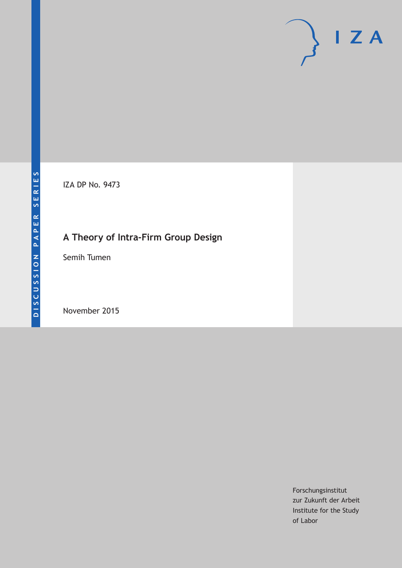IZA DP No. 9473

# **A Theory of Intra-Firm Group Design**

Semih Tumen

November 2015

Forschungsinstitut zur Zukunft der Arbeit Institute for the Study of Labor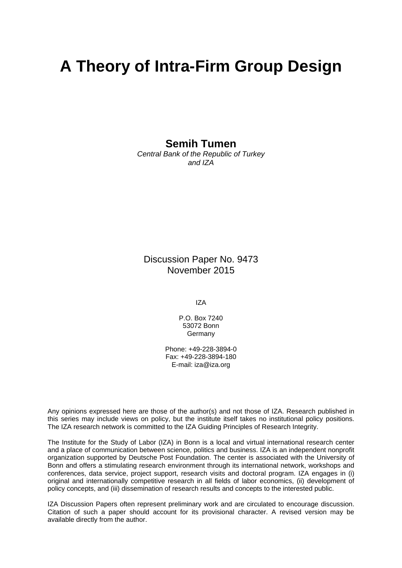# **A Theory of Intra-Firm Group Design**

**Semih Tumen** 

*Central Bank of the Republic of Turkey and IZA* 

Discussion Paper No. 9473 November 2015

IZA

P.O. Box 7240 53072 Bonn Germany

Phone: +49-228-3894-0 Fax: +49-228-3894-180 E-mail: iza@iza.org

Any opinions expressed here are those of the author(s) and not those of IZA. Research published in this series may include views on policy, but the institute itself takes no institutional policy positions. The IZA research network is committed to the IZA Guiding Principles of Research Integrity.

The Institute for the Study of Labor (IZA) in Bonn is a local and virtual international research center and a place of communication between science, politics and business. IZA is an independent nonprofit organization supported by Deutsche Post Foundation. The center is associated with the University of Bonn and offers a stimulating research environment through its international network, workshops and conferences, data service, project support, research visits and doctoral program. IZA engages in (i) original and internationally competitive research in all fields of labor economics, (ii) development of policy concepts, and (iii) dissemination of research results and concepts to the interested public.

IZA Discussion Papers often represent preliminary work and are circulated to encourage discussion. Citation of such a paper should account for its provisional character. A revised version may be available directly from the author.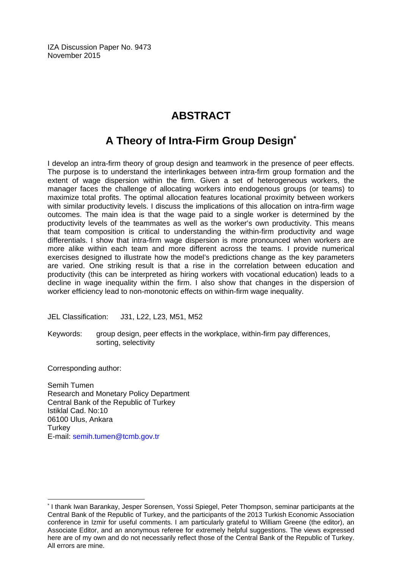IZA Discussion Paper No. 9473 November 2015

# **ABSTRACT**

# **A Theory of Intra-Firm Group Design\***

I develop an intra-firm theory of group design and teamwork in the presence of peer effects. The purpose is to understand the interlinkages between intra-firm group formation and the extent of wage dispersion within the firm. Given a set of heterogeneous workers, the manager faces the challenge of allocating workers into endogenous groups (or teams) to maximize total profits. The optimal allocation features locational proximity between workers with similar productivity levels. I discuss the implications of this allocation on intra-firm wage outcomes. The main idea is that the wage paid to a single worker is determined by the productivity levels of the teammates as well as the worker's own productivity. This means that team composition is critical to understanding the within-firm productivity and wage differentials. I show that intra-firm wage dispersion is more pronounced when workers are more alike within each team and more different across the teams. I provide numerical exercises designed to illustrate how the model's predictions change as the key parameters are varied. One striking result is that a rise in the correlation between education and productivity (this can be interpreted as hiring workers with vocational education) leads to a decline in wage inequality within the firm. I also show that changes in the dispersion of worker efficiency lead to non-monotonic effects on within-firm wage inequality.

JEL Classification: J31, L22, L23, M51, M52

Keywords: group design, peer effects in the workplace, within-firm pay differences, sorting, selectivity

Corresponding author:

 $\overline{\phantom{a}}$ 

Semih Tumen Research and Monetary Policy Department Central Bank of the Republic of Turkey Istiklal Cad. No:10 06100 Ulus, Ankara **Turkey** E-mail: semih.tumen@tcmb.gov.tr

<sup>\*</sup> I thank Iwan Barankay, Jesper Sorensen, Yossi Spiegel, Peter Thompson, seminar participants at the Central Bank of the Republic of Turkey, and the participants of the 2013 Turkish Economic Association conference in Izmir for useful comments. I am particularly grateful to William Greene (the editor), an Associate Editor, and an anonymous referee for extremely helpful suggestions. The views expressed here are of my own and do not necessarily reflect those of the Central Bank of the Republic of Turkey. All errors are mine.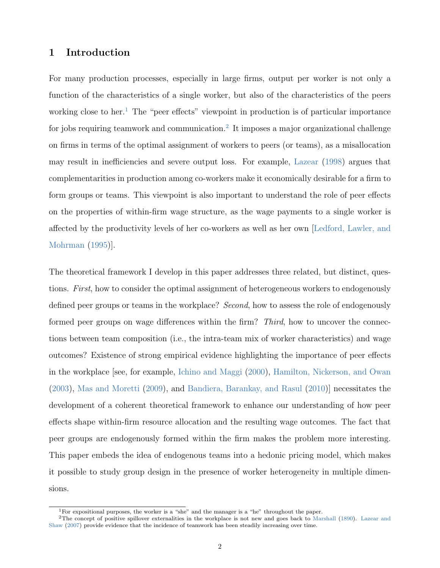# 1 Introduction

For many production processes, especially in large firms, output per worker is not only a function of the characteristics of a single worker, but also of the characteristics of the peers working close to her.<sup>[1](#page--1-0)</sup> The "peer effects" viewpoint in production is of particular importance for jobs requiring teamwork and communication.<sup>[2](#page--1-0)</sup> It imposes a major organizational challenge on firms in terms of the optimal assignment of workers to peers (or teams), as a misallocation may result in inefficiencies and severe output loss. For example, [Lazear](#page-31-0) [\(1998\)](#page-31-0) argues that complementarities in production among co-workers make it economically desirable for a firm to form groups or teams. This viewpoint is also important to understand the role of peer effects on the properties of within-firm wage structure, as the wage payments to a single worker is affected by the productivity levels of her co-workers as well as her own [\[Ledford, Lawler, and](#page-31-1) [Mohrman](#page-31-1) [\(1995\)](#page-31-1)].

The theoretical framework I develop in this paper addresses three related, but distinct, questions. First, how to consider the optimal assignment of heterogeneous workers to endogenously defined peer groups or teams in the workplace? Second, how to assess the role of endogenously formed peer groups on wage differences within the firm? Third, how to uncover the connections between team composition (i.e., the intra-team mix of worker characteristics) and wage outcomes? Existence of strong empirical evidence highlighting the importance of peer effects in the workplace [see, for example, [Ichino and Maggi](#page-30-0) [\(2000\)](#page-30-0), [Hamilton, Nickerson, and Owan](#page-30-1) [\(2003\)](#page-30-1), [Mas and Moretti](#page-31-2) [\(2009\)](#page-31-2), and [Bandiera, Barankay, and Rasul](#page-28-0) [\(2010\)](#page-28-0)] necessitates the development of a coherent theoretical framework to enhance our understanding of how peer effects shape within-firm resource allocation and the resulting wage outcomes. The fact that peer groups are endogenously formed within the firm makes the problem more interesting. This paper embeds the idea of endogenous teams into a hedonic pricing model, which makes it possible to study group design in the presence of worker heterogeneity in multiple dimensions.

<sup>&</sup>lt;sup>1</sup>For expositional purposes, the worker is a "she" and the manager is a "he" throughout the paper.

<sup>&</sup>lt;sup>2</sup>The concept of positive spillover externalities in the workplace is not new and goes back to [Marshall](#page-31-3) [\(1890\)](#page-31-3). [Lazear and](#page-31-4) [Shaw](#page-31-4) [\(2007\)](#page-31-4) provide evidence that the incidence of teamwork has been steadily increasing over time.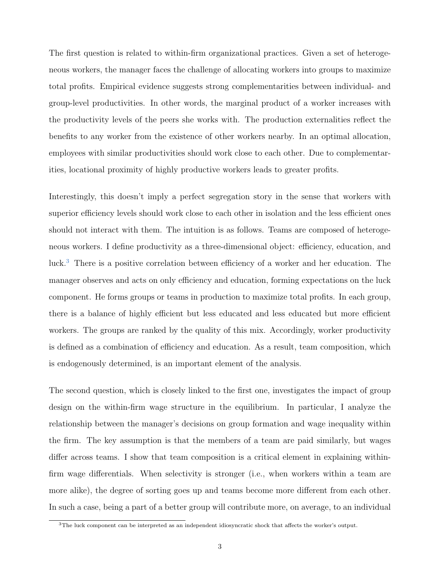The first question is related to within-firm organizational practices. Given a set of heterogeneous workers, the manager faces the challenge of allocating workers into groups to maximize total profits. Empirical evidence suggests strong complementarities between individual- and group-level productivities. In other words, the marginal product of a worker increases with the productivity levels of the peers she works with. The production externalities reflect the benefits to any worker from the existence of other workers nearby. In an optimal allocation, employees with similar productivities should work close to each other. Due to complementarities, locational proximity of highly productive workers leads to greater profits.

Interestingly, this doesn't imply a perfect segregation story in the sense that workers with superior efficiency levels should work close to each other in isolation and the less efficient ones should not interact with them. The intuition is as follows. Teams are composed of heterogeneous workers. I define productivity as a three-dimensional object: efficiency, education, and luck.[3](#page--1-0) There is a positive correlation between efficiency of a worker and her education. The manager observes and acts on only efficiency and education, forming expectations on the luck component. He forms groups or teams in production to maximize total profits. In each group, there is a balance of highly efficient but less educated and less educated but more efficient workers. The groups are ranked by the quality of this mix. Accordingly, worker productivity is defined as a combination of efficiency and education. As a result, team composition, which is endogenously determined, is an important element of the analysis.

The second question, which is closely linked to the first one, investigates the impact of group design on the within-firm wage structure in the equilibrium. In particular, I analyze the relationship between the manager's decisions on group formation and wage inequality within the firm. The key assumption is that the members of a team are paid similarly, but wages differ across teams. I show that team composition is a critical element in explaining withinfirm wage differentials. When selectivity is stronger (i.e., when workers within a team are more alike), the degree of sorting goes up and teams become more different from each other. In such a case, being a part of a better group will contribute more, on average, to an individual

<sup>3</sup>The luck component can be interpreted as an independent idiosyncratic shock that affects the worker's output.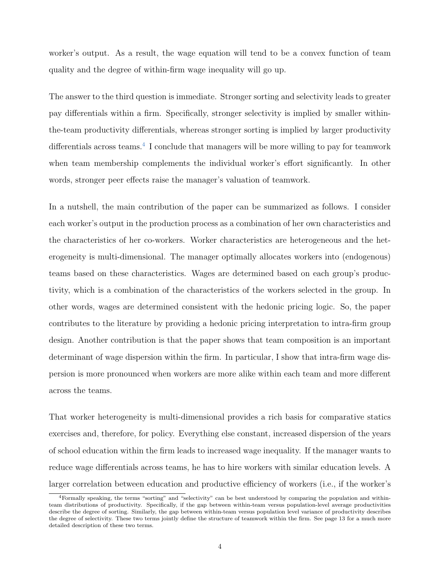worker's output. As a result, the wage equation will tend to be a convex function of team quality and the degree of within-firm wage inequality will go up.

The answer to the third question is immediate. Stronger sorting and selectivity leads to greater pay differentials within a firm. Specifically, stronger selectivity is implied by smaller withinthe-team productivity differentials, whereas stronger sorting is implied by larger productivity differentials across teams.<sup>[4](#page--1-0)</sup> I conclude that managers will be more willing to pay for teamwork when team membership complements the individual worker's effort significantly. In other words, stronger peer effects raise the manager's valuation of teamwork.

In a nutshell, the main contribution of the paper can be summarized as follows. I consider each worker's output in the production process as a combination of her own characteristics and the characteristics of her co-workers. Worker characteristics are heterogeneous and the heterogeneity is multi-dimensional. The manager optimally allocates workers into (endogenous) teams based on these characteristics. Wages are determined based on each group's productivity, which is a combination of the characteristics of the workers selected in the group. In other words, wages are determined consistent with the hedonic pricing logic. So, the paper contributes to the literature by providing a hedonic pricing interpretation to intra-firm group design. Another contribution is that the paper shows that team composition is an important determinant of wage dispersion within the firm. In particular, I show that intra-firm wage dispersion is more pronounced when workers are more alike within each team and more different across the teams.

That worker heterogeneity is multi-dimensional provides a rich basis for comparative statics exercises and, therefore, for policy. Everything else constant, increased dispersion of the years of school education within the firm leads to increased wage inequality. If the manager wants to reduce wage differentials across teams, he has to hire workers with similar education levels. A larger correlation between education and productive efficiency of workers (i.e., if the worker's

 $^{4}$ Formally speaking, the terms "sorting" and "selectivity" can be best understood by comparing the population and withinteam distributions of productivity. Specifically, if the gap between within-team versus population-level average productivities describe the degree of sorting. Similarly, the gap between within-team versus population level variance of productivity describes the degree of selectivity. These two terms jointly define the structure of teamwork within the firm. See page 13 for a much more detailed description of these two terms.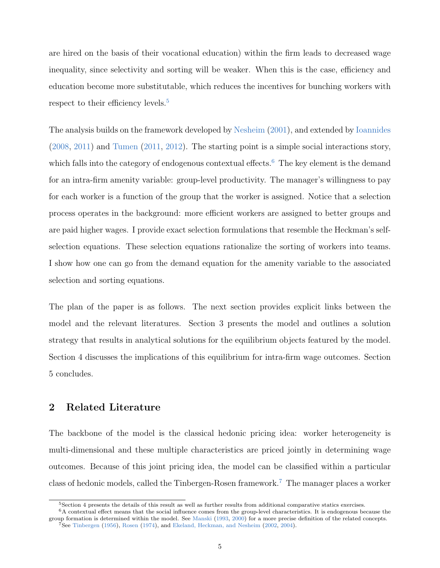are hired on the basis of their vocational education) within the firm leads to decreased wage inequality, since selectivity and sorting will be weaker. When this is the case, efficiency and education become more substitutable, which reduces the incentives for bunching workers with respect to their efficiency levels.<sup>[5](#page--1-0)</sup>

The analysis builds on the framework developed by [Nesheim](#page-32-0) [\(2001\)](#page-32-0), and extended by [Ioannides](#page-30-2) [\(2008,](#page-30-2) [2011\)](#page-30-3) and [Tumen](#page-32-1) [\(2011,](#page-32-1) [2012\)](#page-32-2). The starting point is a simple social interactions story, which falls into the category of endogenous contextual effects.<sup>[6](#page--1-0)</sup> The key element is the demand for an intra-firm amenity variable: group-level productivity. The manager's willingness to pay for each worker is a function of the group that the worker is assigned. Notice that a selection process operates in the background: more efficient workers are assigned to better groups and are paid higher wages. I provide exact selection formulations that resemble the Heckman's selfselection equations. These selection equations rationalize the sorting of workers into teams. I show how one can go from the demand equation for the amenity variable to the associated selection and sorting equations.

The plan of the paper is as follows. The next section provides explicit links between the model and the relevant literatures. Section 3 presents the model and outlines a solution strategy that results in analytical solutions for the equilibrium objects featured by the model. Section 4 discusses the implications of this equilibrium for intra-firm wage outcomes. Section 5 concludes.

## 2 Related Literature

The backbone of the model is the classical hedonic pricing idea: worker heterogeneity is multi-dimensional and these multiple characteristics are priced jointly in determining wage outcomes. Because of this joint pricing idea, the model can be classified within a particular class of hedonic models, called the Tinbergen-Rosen framework.<sup>[7](#page--1-0)</sup> The manager places a worker

<sup>5</sup>Section 4 presents the details of this result as well as further results from additional comparative statics exercises.

 $6A$  contextual effect means that the social influence comes from the group-level characteristics. It is endogenous because the group formation is determined within the model. See [Manski](#page-31-5) [\(1993,](#page-31-5) [2000\)](#page-31-6) for a more precise definition of the related concepts. <sup>7</sup>See [Tinbergen](#page-32-3) [\(1956\)](#page-32-3), [Rosen](#page-32-4) [\(1974\)](#page-32-4), and [Ekeland, Heckman, and Nesheim](#page-29-0) [\(2002,](#page-29-0) [2004\)](#page-29-1).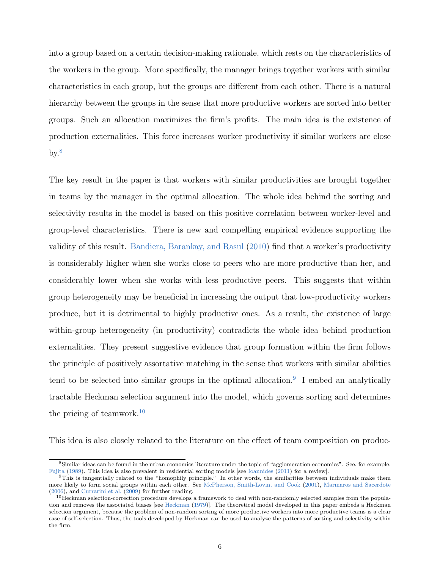into a group based on a certain decision-making rationale, which rests on the characteristics of the workers in the group. More specifically, the manager brings together workers with similar characteristics in each group, but the groups are different from each other. There is a natural hierarchy between the groups in the sense that more productive workers are sorted into better groups. Such an allocation maximizes the firm's profits. The main idea is the existence of production externalities. This force increases worker productivity if similar workers are close  $by.<sup>8</sup>$  $by.<sup>8</sup>$  $by.<sup>8</sup>$ 

The key result in the paper is that workers with similar productivities are brought together in teams by the manager in the optimal allocation. The whole idea behind the sorting and selectivity results in the model is based on this positive correlation between worker-level and group-level characteristics. There is new and compelling empirical evidence supporting the validity of this result. [Bandiera, Barankay, and Rasul](#page-28-0) [\(2010\)](#page-28-0) find that a worker's productivity is considerably higher when she works close to peers who are more productive than her, and considerably lower when she works with less productive peers. This suggests that within group heterogeneity may be beneficial in increasing the output that low-productivity workers produce, but it is detrimental to highly productive ones. As a result, the existence of large within-group heterogeneity (in productivity) contradicts the whole idea behind production externalities. They present suggestive evidence that group formation within the firm follows the principle of positively assortative matching in the sense that workers with similar abilities tend to be selected into similar groups in the optimal allocation.<sup>[9](#page--1-0)</sup> I embed an analytically tractable Heckman selection argument into the model, which governs sorting and determines the pricing of teamwork.<sup>[10](#page--1-0)</sup>

This idea is also closely related to the literature on the effect of team composition on produc-

<sup>8</sup>Similar ideas can be found in the urban economics literature under the topic of "agglomeration economies". See, for example, [Fujita](#page-29-2) [\(1989\)](#page-29-2). This idea is also prevalent in residential sorting models [see [Ioannides](#page-30-3) [\(2011\)](#page-30-3) for a review].

<sup>9</sup>This is tangentially related to the "homophily principle." In other words, the similarities between individuals make them more likely to form social groups within each other. See [McPherson, Smith-Lovin, and Cook](#page-31-7) [\(2001\)](#page-31-7), [Marmaros and Sacerdote](#page-31-8) [\(2006\)](#page-31-8), and [Currarini et al.](#page-29-3) [\(2009\)](#page-29-3) for further reading.

 $10$ Heckman selection-correction procedure develops a framework to deal with non-randomly selected samples from the population and removes the associated biases [see [Heckman](#page-30-4) [\(1979\)](#page-30-4)]. The theoretical model developed in this paper embeds a Heckman selection argument, because the problem of non-random sorting of more productive workers into more productive teams is a clear case of self-selection. Thus, the tools developed by Heckman can be used to analyze the patterns of sorting and selectivity within the firm.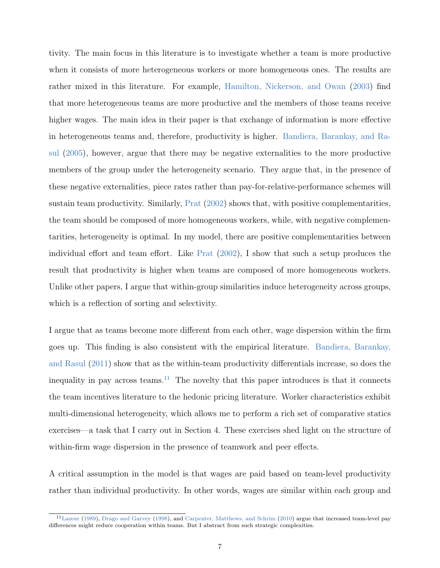tivity. The main focus in this literature is to investigate whether a team is more productive when it consists of more heterogeneous workers or more homogeneous ones. The results are rather mixed in this literature. For example, [Hamilton, Nickerson, and Owan](#page-30-1) [\(2003\)](#page-30-1) find that more heterogeneous teams are more productive and the members of those teams receive higher wages. The main idea in their paper is that exchange of information is more effective in heterogeneous teams and, therefore, productivity is higher. [Bandiera, Barankay, and Ra](#page-28-1)[sul](#page-28-1) [\(2005\)](#page-28-1), however, argue that there may be negative externalities to the more productive members of the group under the heterogeneity scenario. They argue that, in the presence of these negative externalities, piece rates rather than pay-for-relative-performance schemes will sustain team productivity. Similarly, [Prat](#page-32-5) [\(2002\)](#page-32-5) shows that, with positive complementarities, the team should be composed of more homogeneous workers, while, with negative complementarities, heterogeneity is optimal. In my model, there are positive complementarities between individual effort and team effort. Like [Prat](#page-32-5) [\(2002\)](#page-32-5), I show that such a setup produces the result that productivity is higher when teams are composed of more homogeneous workers. Unlike other papers, I argue that within-group similarities induce heterogeneity across groups, which is a reflection of sorting and selectivity.

I argue that as teams become more different from each other, wage dispersion within the firm goes up. This finding is also consistent with the empirical literature. [Bandiera, Barankay,](#page-28-2) [and Rasul](#page-28-2) [\(2011\)](#page-28-2) show that as the within-team productivity differentials increase, so does the inequality in pay across teams.<sup>[11](#page--1-0)</sup> The novelty that this paper introduces is that it connects the team incentives literature to the hedonic pricing literature. Worker characteristics exhibit multi-dimensional heterogeneity, which allows me to perform a rich set of comparative statics exercises—a task that I carry out in Section 4. These exercises shed light on the structure of within-firm wage dispersion in the presence of teamwork and peer effects.

A critical assumption in the model is that wages are paid based on team-level productivity rather than individual productivity. In other words, wages are similar within each group and

 $11$ [Lazear](#page-31-9) [\(1989\)](#page-31-9), [Drago and Garvey](#page-29-4) [\(1998\)](#page-29-4), and [Carpenter, Matthews, and Schrim](#page-28-3) [\(2010\)](#page-28-3) argue that increased team-level pay differences might reduce cooperation within teams. But I abstract from such strategic complexities.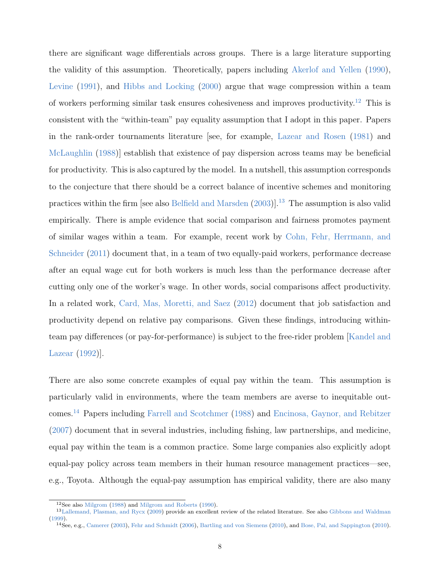there are significant wage differentials across groups. There is a large literature supporting the validity of this assumption. Theoretically, papers including [Akerlof and Yellen](#page-28-4) [\(1990\)](#page-28-4), [Levine](#page-31-10) [\(1991\)](#page-31-10), and [Hibbs and Locking](#page-30-5) [\(2000\)](#page-30-5) argue that wage compression within a team of workers performing similar task ensures cohesiveness and improves productivity.<sup>[12](#page--1-0)</sup> This is consistent with the "within-team" pay equality assumption that I adopt in this paper. Papers in the rank-order tournaments literature [see, for example, [Lazear and Rosen](#page-31-11) [\(1981\)](#page-31-11) and [McLaughlin](#page-31-12) [\(1988\)](#page-31-12)] establish that existence of pay dispersion across teams may be beneficial for productivity. This is also captured by the model. In a nutshell, this assumption corresponds to the conjecture that there should be a correct balance of incentive schemes and monitoring practices within the firm [see also [Belfield and Marsden](#page-28-5)  $(2003)$ ].<sup>[13](#page--1-0)</sup> The assumption is also valid empirically. There is ample evidence that social comparison and fairness promotes payment of similar wages within a team. For example, recent work by [Cohn, Fehr, Herrmann, and](#page-29-5) [Schneider](#page-29-5) [\(2011\)](#page-29-5) document that, in a team of two equally-paid workers, performance decrease after an equal wage cut for both workers is much less than the performance decrease after cutting only one of the worker's wage. In other words, social comparisons affect productivity. In a related work, [Card, Mas, Moretti, and Saez](#page-28-6) [\(2012\)](#page-28-6) document that job satisfaction and productivity depend on relative pay comparisons. Given these findings, introducing withinteam pay differences (or pay-for-performance) is subject to the free-rider problem [\[Kandel and](#page-30-6) [Lazear](#page-30-6) [\(1992\)](#page-30-6)].

There are also some concrete examples of equal pay within the team. This assumption is particularly valid in environments, where the team members are averse to inequitable outcomes.[14](#page--1-0) Papers including [Farrell and Scotchmer](#page-29-6) [\(1988\)](#page-29-6) and [Encinosa, Gaynor, and Rebitzer](#page-29-7) [\(2007\)](#page-29-7) document that in several industries, including fishing, law partnerships, and medicine, equal pay within the team is a common practice. Some large companies also explicitly adopt equal-pay policy across team members in their human resource management practices—see, e.g., Toyota. Although the equal-pay assumption has empirical validity, there are also many

<sup>12</sup>See also [Milgrom](#page-32-6) [\(1988\)](#page-32-6) and [Milgrom and Roberts](#page-32-7) [\(1990\)](#page-32-7).

<sup>13</sup>[Lallemand, Plasman, and Rycx](#page-30-7) [\(2009\)](#page-30-7) provide an excellent review of the related literature. See also [Gibbons and Waldman](#page-30-8) [\(1999\)](#page-30-8). <sup>14</sup>See, e.g., [Camerer](#page-28-7) [\(2003\)](#page-28-7), [Fehr and Schmidt](#page-29-8) [\(2006\)](#page-29-8), [Bartling and von Siemens](#page-28-8) [\(2010\)](#page-28-8), and [Bose, Pal, and Sappington](#page-28-9) [\(2010\)](#page-28-9).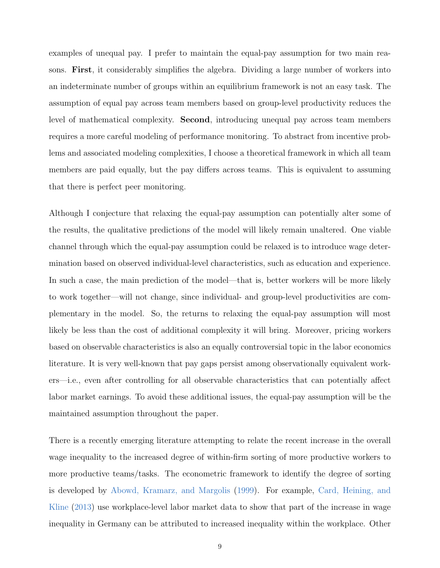examples of unequal pay. I prefer to maintain the equal-pay assumption for two main reasons. First, it considerably simplifies the algebra. Dividing a large number of workers into an indeterminate number of groups within an equilibrium framework is not an easy task. The assumption of equal pay across team members based on group-level productivity reduces the level of mathematical complexity. Second, introducing unequal pay across team members requires a more careful modeling of performance monitoring. To abstract from incentive problems and associated modeling complexities, I choose a theoretical framework in which all team members are paid equally, but the pay differs across teams. This is equivalent to assuming that there is perfect peer monitoring.

Although I conjecture that relaxing the equal-pay assumption can potentially alter some of the results, the qualitative predictions of the model will likely remain unaltered. One viable channel through which the equal-pay assumption could be relaxed is to introduce wage determination based on observed individual-level characteristics, such as education and experience. In such a case, the main prediction of the model—that is, better workers will be more likely to work together—will not change, since individual- and group-level productivities are complementary in the model. So, the returns to relaxing the equal-pay assumption will most likely be less than the cost of additional complexity it will bring. Moreover, pricing workers based on observable characteristics is also an equally controversial topic in the labor economics literature. It is very well-known that pay gaps persist among observationally equivalent workers—i.e., even after controlling for all observable characteristics that can potentially affect labor market earnings. To avoid these additional issues, the equal-pay assumption will be the maintained assumption throughout the paper.

There is a recently emerging literature attempting to relate the recent increase in the overall wage inequality to the increased degree of within-firm sorting of more productive workers to more productive teams/tasks. The econometric framework to identify the degree of sorting is developed by [Abowd, Kramarz, and Margolis](#page-28-10) [\(1999\)](#page-28-10). For example, [Card, Heining, and](#page-28-11) [Kline](#page-28-11) [\(2013\)](#page-28-11) use workplace-level labor market data to show that part of the increase in wage inequality in Germany can be attributed to increased inequality within the workplace. Other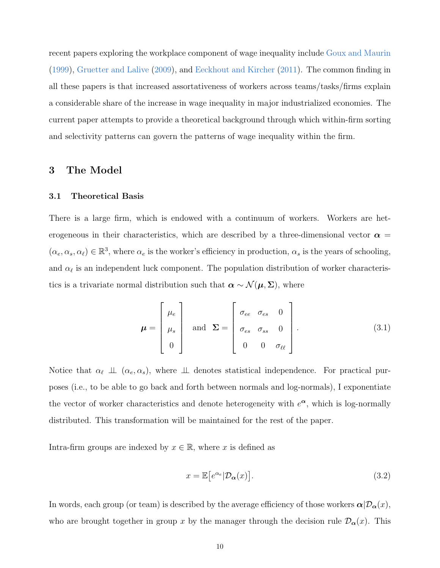recent papers exploring the workplace component of wage inequality include [Goux and Maurin](#page-30-9) [\(1999\)](#page-30-9), [Gruetter and Lalive](#page-30-10) [\(2009\)](#page-30-10), and [Eeckhout and Kircher](#page-29-9) [\(2011\)](#page-29-9). The common finding in all these papers is that increased assortativeness of workers across teams/tasks/firms explain a considerable share of the increase in wage inequality in major industrialized economies. The current paper attempts to provide a theoretical background through which within-firm sorting and selectivity patterns can govern the patterns of wage inequality within the firm.

### 3 The Model

#### 3.1 Theoretical Basis

There is a large firm, which is endowed with a continuum of workers. Workers are heterogeneous in their characteristics, which are described by a three-dimensional vector  $\alpha =$  $(\alpha_e, \alpha_s, \alpha_\ell) \in \mathbb{R}^3$ , where  $\alpha_e$  is the worker's efficiency in production,  $\alpha_s$  is the years of schooling, and  $\alpha_{\ell}$  is an independent luck component. The population distribution of worker characteristics is a trivariate normal distribution such that  $\alpha \sim \mathcal{N}(\mu, \Sigma)$ , where

$$
\boldsymbol{\mu} = \begin{bmatrix} \mu_e \\ \mu_s \\ 0 \end{bmatrix} \text{ and } \boldsymbol{\Sigma} = \begin{bmatrix} \sigma_{ee} & \sigma_{es} & 0 \\ \sigma_{es} & \sigma_{ss} & 0 \\ 0 & 0 & \sigma_{\ell\ell} \end{bmatrix} . \tag{3.1}
$$

Notice that  $\alpha_{\ell} \perp \perp (\alpha_e, \alpha_s)$ , where  $\perp \perp$  denotes statistical independence. For practical purposes (i.e., to be able to go back and forth between normals and log-normals), I exponentiate the vector of worker characteristics and denote heterogeneity with  $e^{\alpha}$ , which is log-normally distributed. This transformation will be maintained for the rest of the paper.

Intra-firm groups are indexed by  $x \in \mathbb{R}$ , where x is defined as

<span id="page-11-0"></span>
$$
x = \mathbb{E}\left[e^{\alpha_e} | \mathcal{D}_{\alpha}(x)\right].\tag{3.2}
$$

In words, each group (or team) is described by the average efficiency of those workers  $\alpha | \mathcal{D}_{\alpha}(x),$ who are brought together in group x by the manager through the decision rule  $\mathcal{D}_{\alpha}(x)$ . This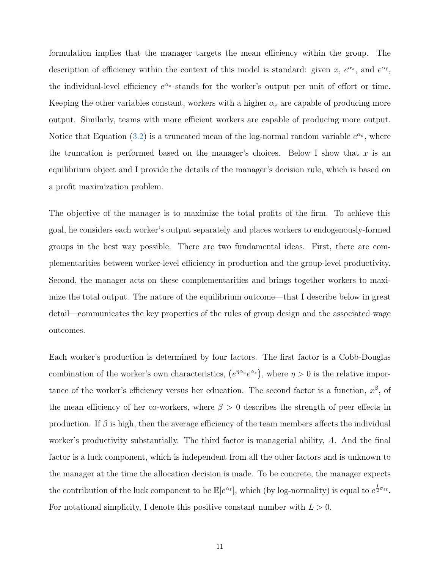formulation implies that the manager targets the mean efficiency within the group. The description of efficiency within the context of this model is standard: given x,  $e^{\alpha_s}$ , and  $e^{\alpha_\ell}$ , the individual-level efficiency  $e^{\alpha_e}$  stands for the worker's output per unit of effort or time. Keeping the other variables constant, workers with a higher  $\alpha_e$  are capable of producing more output. Similarly, teams with more efficient workers are capable of producing more output. Notice that Equation [\(3.2\)](#page-11-0) is a truncated mean of the log-normal random variable  $e^{\alpha_e}$ , where the truncation is performed based on the manager's choices. Below I show that  $x$  is an equilibrium object and I provide the details of the manager's decision rule, which is based on a profit maximization problem.

The objective of the manager is to maximize the total profits of the firm. To achieve this goal, he considers each worker's output separately and places workers to endogenously-formed groups in the best way possible. There are two fundamental ideas. First, there are complementarities between worker-level efficiency in production and the group-level productivity. Second, the manager acts on these complementarities and brings together workers to maximize the total output. The nature of the equilibrium outcome—that I describe below in great detail—communicates the key properties of the rules of group design and the associated wage outcomes.

Each worker's production is determined by four factors. The first factor is a Cobb-Douglas combination of the worker's own characteristics,  $(e^{\eta \alpha_e} e^{\alpha_s})$ , where  $\eta > 0$  is the relative importance of the worker's efficiency versus her education. The second factor is a function,  $x^{\beta}$ , of the mean efficiency of her co-workers, where  $\beta > 0$  describes the strength of peer effects in production. If  $\beta$  is high, then the average efficiency of the team members affects the individual worker's productivity substantially. The third factor is managerial ability, A. And the final factor is a luck component, which is independent from all the other factors and is unknown to the manager at the time the allocation decision is made. To be concrete, the manager expects the contribution of the luck component to be  $\mathbb{E}[e^{\alpha_\ell}],$  which (by log-normality) is equal to  $e^{\frac{1}{2}\sigma_{\ell\ell}}$ . For notational simplicity, I denote this positive constant number with  $L > 0$ .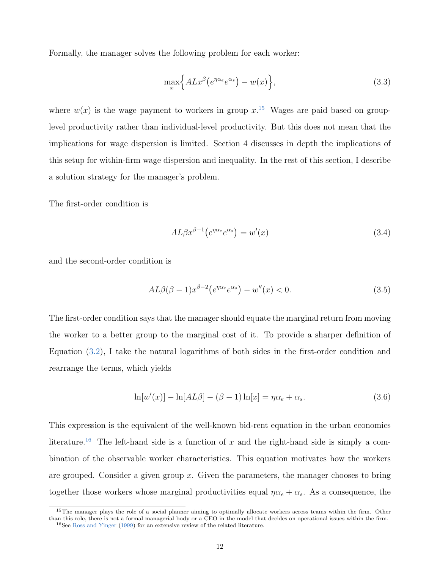Formally, the manager solves the following problem for each worker:

<span id="page-13-1"></span>
$$
\max_{x} \left\{ A L x^{\beta} \left( e^{\eta \alpha_e} e^{\alpha_s} \right) - w(x) \right\},\tag{3.3}
$$

where  $w(x)$  is the wage payment to workers in group  $x<sup>15</sup>$  $x<sup>15</sup>$  $x<sup>15</sup>$  Wages are paid based on grouplevel productivity rather than individual-level productivity. But this does not mean that the implications for wage dispersion is limited. Section 4 discusses in depth the implications of this setup for within-firm wage dispersion and inequality. In the rest of this section, I describe a solution strategy for the manager's problem.

The first-order condition is

$$
AL\beta x^{\beta - 1} \left( e^{\eta \alpha_e} e^{\alpha_s} \right) = w'(x) \tag{3.4}
$$

and the second-order condition is

$$
AL\beta(\beta - 1)x^{\beta - 2}(e^{\eta \alpha_e}e^{\alpha_s}) - w''(x) < 0. \tag{3.5}
$$

The first-order condition says that the manager should equate the marginal return from moving the worker to a better group to the marginal cost of it. To provide a sharper definition of Equation [\(3.2\)](#page-11-0), I take the natural logarithms of both sides in the first-order condition and rearrange the terms, which yields

<span id="page-13-0"></span>
$$
\ln[w'(x)] - \ln[AL\beta] - (\beta - 1)\ln[x] = \eta \alpha_e + \alpha_s. \tag{3.6}
$$

This expression is the equivalent of the well-known bid-rent equation in the urban economics literature.<sup>[16](#page--1-0)</sup> The left-hand side is a function of x and the right-hand side is simply a combination of the observable worker characteristics. This equation motivates how the workers are grouped. Consider a given group  $x$ . Given the parameters, the manager chooses to bring together those workers whose marginal productivities equal  $\eta \alpha_e + \alpha_s$ . As a consequence, the

<sup>&</sup>lt;sup>15</sup>The manager plays the role of a social planner aiming to optimally allocate workers across teams within the firm. Other than this role, there is not a formal managerial body or a CEO in the model that decides on operational issues within the firm. <sup>16</sup>See [Ross and Yinger](#page-32-8) [\(1999\)](#page-32-8) for an extensive review of the related literature.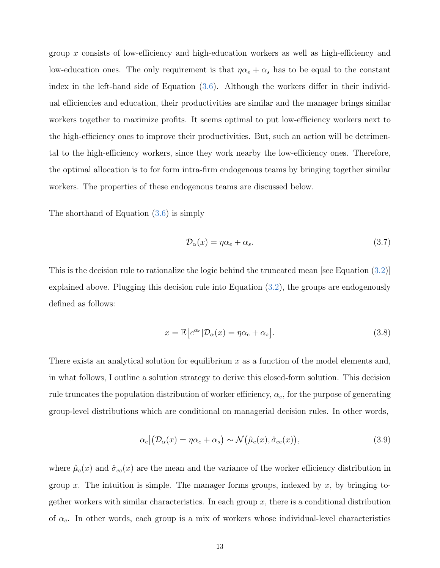group x consists of low-efficiency and high-education workers as well as high-efficiency and low-education ones. The only requirement is that  $\eta \alpha_e + \alpha_s$  has to be equal to the constant index in the left-hand side of Equation [\(3.6\)](#page-13-0). Although the workers differ in their individual efficiencies and education, their productivities are similar and the manager brings similar workers together to maximize profits. It seems optimal to put low-efficiency workers next to the high-efficiency ones to improve their productivities. But, such an action will be detrimental to the high-efficiency workers, since they work nearby the low-efficiency ones. Therefore, the optimal allocation is to for form intra-firm endogenous teams by bringing together similar workers. The properties of these endogenous teams are discussed below.

The shorthand of Equation [\(3.6\)](#page-13-0) is simply

<span id="page-14-1"></span><span id="page-14-0"></span>
$$
\mathcal{D}_{\alpha}(x) = \eta \alpha_e + \alpha_s. \tag{3.7}
$$

This is the decision rule to rationalize the logic behind the truncated mean [see Equation [\(3.2\)](#page-11-0)] explained above. Plugging this decision rule into Equation [\(3.2\)](#page-11-0), the groups are endogenously defined as follows:

$$
x = \mathbb{E}\left[e^{\alpha_e} | \mathcal{D}_{\alpha}(x) = \eta \alpha_e + \alpha_s\right].\tag{3.8}
$$

There exists an analytical solution for equilibrium  $x$  as a function of the model elements and, in what follows, I outline a solution strategy to derive this closed-form solution. This decision rule truncates the population distribution of worker efficiency,  $\alpha_e$ , for the purpose of generating group-level distributions which are conditional on managerial decision rules. In other words,

$$
\alpha_e | \big( \mathcal{D}_\alpha(x) = \eta \alpha_e + \alpha_s \big) \sim \mathcal{N} \big( \hat{\mu}_e(x), \hat{\sigma}_{ee}(x) \big), \tag{3.9}
$$

where  $\hat{\mu}_e(x)$  and  $\hat{\sigma}_{ee}(x)$  are the mean and the variance of the worker efficiency distribution in group x. The intuition is simple. The manager forms groups, indexed by x, by bringing together workers with similar characteristics. In each group  $x$ , there is a conditional distribution of  $\alpha_e$ . In other words, each group is a mix of workers whose individual-level characteristics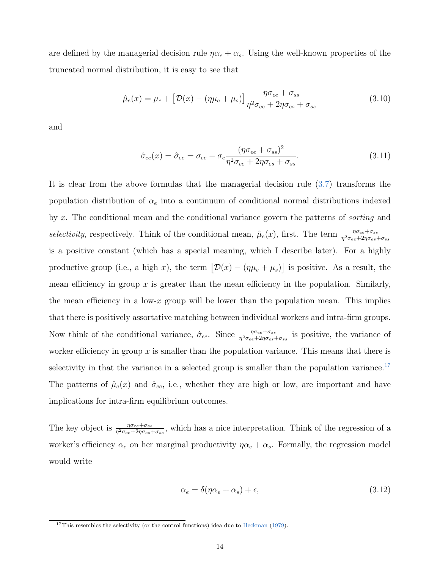are defined by the managerial decision rule  $\eta \alpha_e + \alpha_s$ . Using the well-known properties of the truncated normal distribution, it is easy to see that

$$
\hat{\mu}_e(x) = \mu_e + \left[\mathcal{D}(x) - (\eta \mu_e + \mu_s)\right] \frac{\eta \sigma_{ee} + \sigma_{ss}}{\eta^2 \sigma_{ee} + 2\eta \sigma_{es} + \sigma_{ss}} \tag{3.10}
$$

and

$$
\hat{\sigma}_{ee}(x) = \hat{\sigma}_{ee} = \sigma_{ee} - \sigma_e \frac{(\eta \sigma_{ee} + \sigma_{ss})^2}{\eta^2 \sigma_{ee} + 2\eta \sigma_{es} + \sigma_{ss}}.
$$
\n(3.11)

It is clear from the above formulas that the managerial decision rule [\(3.7\)](#page-14-0) transforms the population distribution of  $\alpha_e$  into a continuum of conditional normal distributions indexed by x. The conditional mean and the conditional variance govern the patterns of sorting and selectivity, respectively. Think of the conditional mean,  $\hat{\mu}_e(x)$ , first. The term  $\frac{\eta \sigma_{ee} + \sigma_{ss}}{\eta^2 \sigma_{ee} + 2\eta \sigma_{es} + \sigma_{ss}}$ is a positive constant (which has a special meaning, which I describe later). For a highly productive group (i.e., a high x), the term  $[\mathcal{D}(x) - (\eta \mu_e + \mu_s)]$  is positive. As a result, the mean efficiency in group x is greater than the mean efficiency in the population. Similarly, the mean efficiency in a low-x group will be lower than the population mean. This implies that there is positively assortative matching between individual workers and intra-firm groups. Now think of the conditional variance,  $\hat{\sigma}_{ee}$ . Since  $\frac{\eta \sigma_{ee} + \sigma_{ss}}{\eta^2 \sigma_{ee} + 2\eta \sigma_{es} + \sigma_{ss}}$  is positive, the variance of worker efficiency in group x is smaller than the population variance. This means that there is selectivity in that the variance in a selected group is smaller than the population variance.<sup>[17](#page--1-0)</sup> The patterns of  $\hat{\mu}_e(x)$  and  $\hat{\sigma}_{ee}$ , i.e., whether they are high or low, are important and have implications for intra-firm equilibrium outcomes.

The key object is  $\frac{\eta \sigma_{ee} + \sigma_{ss}}{\eta^2 \sigma_{ee} + 2\eta \sigma_{es} + \sigma_{ss}}$ , which has a nice interpretation. Think of the regression of a worker's efficiency  $\alpha_e$  on her marginal productivity  $\eta \alpha_e + \alpha_s$ . Formally, the regression model would write

<span id="page-15-0"></span>
$$
\alpha_e = \delta(\eta \alpha_e + \alpha_s) + \epsilon,\tag{3.12}
$$

<sup>&</sup>lt;sup>17</sup>This resembles the selectivity (or the control functions) idea due to [Heckman](#page-30-4) [\(1979\)](#page-30-4).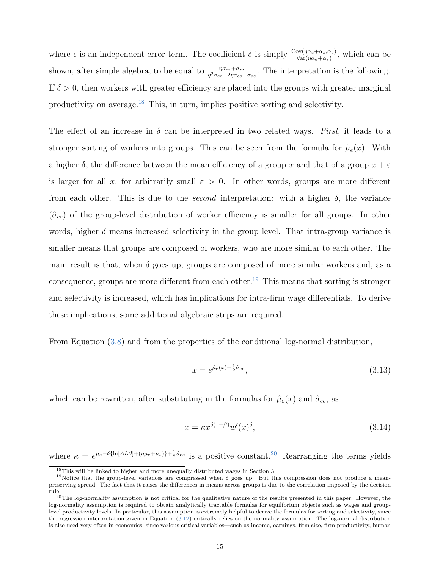where  $\epsilon$  is an independent error term. The coefficient  $\delta$  is simply  $\frac{\text{Cov}(\eta\alpha_e+\alpha_s,\alpha_e)}{\text{Var}(\eta\alpha_e+\alpha_s)}$ , which can be shown, after simple algebra, to be equal to  $\frac{\eta \sigma_{ee} + \sigma_{ss}}{\eta^2 \sigma_{ee} + 2\eta \sigma_{es} + \sigma_{ss}}$ . The interpretation is the following. If  $\delta > 0$ , then workers with greater efficiency are placed into the groups with greater marginal productivity on average.[18](#page--1-0) This, in turn, implies positive sorting and selectivity.

The effect of an increase in  $\delta$  can be interpreted in two related ways. First, it leads to a stronger sorting of workers into groups. This can be seen from the formula for  $\hat{\mu}_e(x)$ . With a higher  $\delta$ , the difference between the mean efficiency of a group x and that of a group  $x + \varepsilon$ is larger for all x, for arbitrarily small  $\varepsilon > 0$ . In other words, groups are more different from each other. This is due to the *second* interpretation: with a higher  $\delta$ , the variance  $(\hat{\sigma}_{ee})$  of the group-level distribution of worker efficiency is smaller for all groups. In other words, higher  $\delta$  means increased selectivity in the group level. That intra-group variance is smaller means that groups are composed of workers, who are more similar to each other. The main result is that, when  $\delta$  goes up, groups are composed of more similar workers and, as a consequence, groups are more different from each other.<sup>[19](#page--1-0)</sup> This means that sorting is stronger and selectivity is increased, which has implications for intra-firm wage differentials. To derive these implications, some additional algebraic steps are required.

From Equation [\(3.8\)](#page-14-1) and from the properties of the conditional log-normal distribution,

<span id="page-16-0"></span>
$$
x = e^{\hat{\mu}_e(x) + \frac{1}{2}\hat{\sigma}_{ee}},\tag{3.13}
$$

which can be rewritten, after substituting in the formulas for  $\hat{\mu}_e(x)$  and  $\hat{\sigma}_{ee}$ , as

$$
x = \kappa x^{\delta(1-\beta)} w'(x)^{\delta},\tag{3.14}
$$

where  $\kappa = e^{\mu_e - \delta{\{\ln[A L \beta] + (\eta \mu_e + \mu_s)\} + \frac{1}{2}\hat{\sigma}_{ee}}}$  is a positive constant.<sup>[20](#page--1-0)</sup> Rearranging the terms yields

<sup>18</sup>This will be linked to higher and more unequally distributed wages in Section 3.

<sup>&</sup>lt;sup>19</sup>Notice that the group-level variances are compressed when  $\delta$  goes up. But this compression does not produce a meanpreserving spread. The fact that it raises the differences in means across groups is due to the correlation imposed by the decision rule.

 $^{20}$ The log-normality assumption is not critical for the qualitative nature of the results presented in this paper. However, the log-normality assumption is required to obtain analytically tractable formulas for equilibrium objects such as wages and grouplevel productivity levels. In particular, this assumption is extremely helpful to derive the formulas for sorting and selectivity, since the regression interpretation given in Equation [\(3.12\)](#page-15-0) critically relies on the normality assumption. The log-normal distribution is also used very often in economics, since various critical variables—such as income, earnings, firm size, firm productivity, human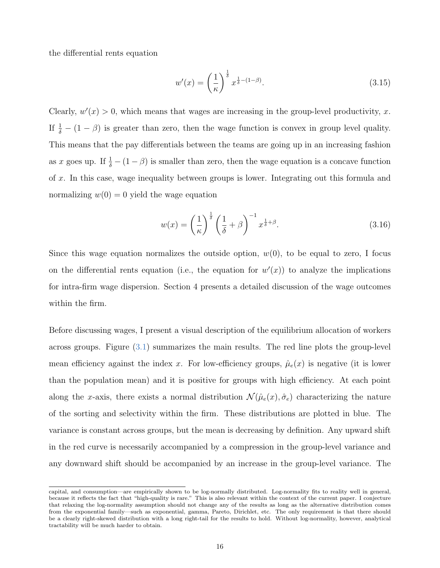the differential rents equation

$$
w'(x) = \left(\frac{1}{\kappa}\right)^{\frac{1}{\delta}} x^{\frac{1}{\delta} - (1-\beta)}.
$$
\n(3.15)

Clearly,  $w'(x) > 0$ , which means that wages are increasing in the group-level productivity, x. If  $\frac{1}{\delta} - (1 - \beta)$  is greater than zero, then the wage function is convex in group level quality. This means that the pay differentials between the teams are going up in an increasing fashion as x goes up. If  $\frac{1}{\delta} - (1 - \beta)$  is smaller than zero, then the wage equation is a concave function of x. In this case, wage inequality between groups is lower. Integrating out this formula and normalizing  $w(0) = 0$  yield the wage equation

<span id="page-17-0"></span>
$$
w(x) = \left(\frac{1}{\kappa}\right)^{\frac{1}{\delta}} \left(\frac{1}{\delta} + \beta\right)^{-1} x^{\frac{1}{\delta} + \beta}.
$$
 (3.16)

Since this wage equation normalizes the outside option,  $w(0)$ , to be equal to zero, I focus on the differential rents equation (i.e., the equation for  $w'(x)$ ) to analyze the implications for intra-firm wage dispersion. Section 4 presents a detailed discussion of the wage outcomes within the firm.

Before discussing wages, I present a visual description of the equilibrium allocation of workers across groups. Figure [\(3.1\)](#page-18-0) summarizes the main results. The red line plots the group-level mean efficiency against the index x. For low-efficiency groups,  $\hat{\mu}_e(x)$  is negative (it is lower than the population mean) and it is positive for groups with high efficiency. At each point along the x-axis, there exists a normal distribution  $\mathcal{N}(\hat{\mu}_e(x), \hat{\sigma}_e)$  characterizing the nature of the sorting and selectivity within the firm. These distributions are plotted in blue. The variance is constant across groups, but the mean is decreasing by definition. Any upward shift in the red curve is necessarily accompanied by a compression in the group-level variance and any downward shift should be accompanied by an increase in the group-level variance. The

capital, and consumption—are empirically shown to be log-normally distributed. Log-normality fits to reality well in general, because it reflects the fact that "high-quality is rare." This is also relevant within the context of the current paper. I conjecture that relaxing the log-normality assumption should not change any of the results as long as the alternative distribution comes from the exponential family—such as exponential, gamma, Pareto, Dirichlet, etc. The only requirement is that there should be a clearly right-skewed distribution with a long right-tail for the results to hold. Without log-normality, however, analytical tractability will be much harder to obtain.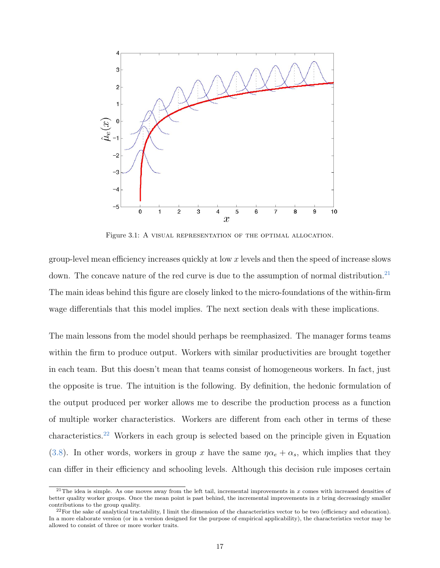<span id="page-18-0"></span>

Figure 3.1: A VISUAL REPRESENTATION OF THE OPTIMAL ALLOCATION.

group-level mean efficiency increases quickly at low  $x$  levels and then the speed of increase slows down. The concave nature of the red curve is due to the assumption of normal distribution.<sup>[21](#page--1-0)</sup> The main ideas behind this figure are closely linked to the micro-foundations of the within-firm wage differentials that this model implies. The next section deals with these implications.

The main lessons from the model should perhaps be reemphasized. The manager forms teams within the firm to produce output. Workers with similar productivities are brought together in each team. But this doesn't mean that teams consist of homogeneous workers. In fact, just the opposite is true. The intuition is the following. By definition, the hedonic formulation of the output produced per worker allows me to describe the production process as a function of multiple worker characteristics. Workers are different from each other in terms of these characteristics.[22](#page--1-0) Workers in each group is selected based on the principle given in Equation [\(3.8\)](#page-14-1). In other words, workers in group x have the same  $\eta \alpha_e + \alpha_s$ , which implies that they can differ in their efficiency and schooling levels. Although this decision rule imposes certain

<sup>&</sup>lt;sup>21</sup>The idea is simple. As one moves away from the left tail, incremental improvements in  $x$  comes with increased densities of better quality worker groups. Once the mean point is past behind, the incremental improvements in  $x$  bring decreasingly smaller contributions to the group quality.

 $^{22}$ For the sake of analytical tractability, I limit the dimension of the characteristics vector to be two (efficiency and education). In a more elaborate version (or in a version designed for the purpose of empirical applicability), the characteristics vector may be allowed to consist of three or more worker traits.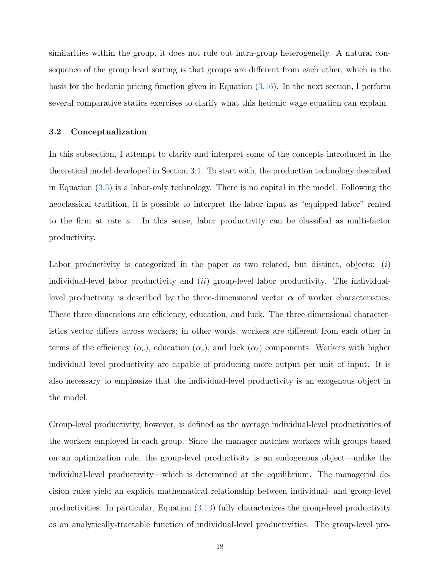similarities within the group, it does not rule out intra-group heterogeneity. A natural consequence of the group level sorting is that groups are different from each other, which is the basis for the hedonic pricing function given in Equation [\(3.16\)](#page-17-0). In the next section, I perform several comparative statics exercises to clarify what this hedonic wage equation can explain.

#### 3.2 Conceptualization

In this subsection, I attempt to clarify and interpret some of the concepts introduced in the theoretical model developed in Section 3.1. To start with, the production technology described in Equation [\(3.3\)](#page-13-1) is a labor-only technology. There is no capital in the model. Following the neoclassical tradition, it is possible to interpret the labor input as "equipped labor" rented to the firm at rate w. In this sense, labor productivity can be classified as multi-factor productivity.

Labor productivity is categorized in the paper as two related, but distinct, objects:  $(i)$ individual-level labor productivity and  $(ii)$  group-level labor productivity. The individuallevel productivity is described by the three-dimensional vector  $\alpha$  of worker characteristics. These three dimensions are efficiency, education, and luck. The three-dimensional characteristics vector differs across workers; in other words, workers are different from each other in terms of the efficiency  $(\alpha_e)$ , education  $(\alpha_s)$ , and luck  $(\alpha_\ell)$  components. Workers with higher individual level productivity are capable of producing more output per unit of input. It is also necessary to emphasize that the individual-level productivity is an exogenous object in the model.

Group-level productivity, however, is defined as the average individual-level productivities of the workers employed in each group. Since the manager matches workers with groups based on an optimization rule, the group-level productivity is an endogenous object—unlike the individual-level productivity—which is determined at the equilibrium. The managerial decision rules yield an explicit mathematical relationship between individual- and group-level productivities. In particular, Equation [\(3.13\)](#page-16-0) fully characterizes the group-level productivity as an analytically-tractable function of individual-level productivities. The group-level pro-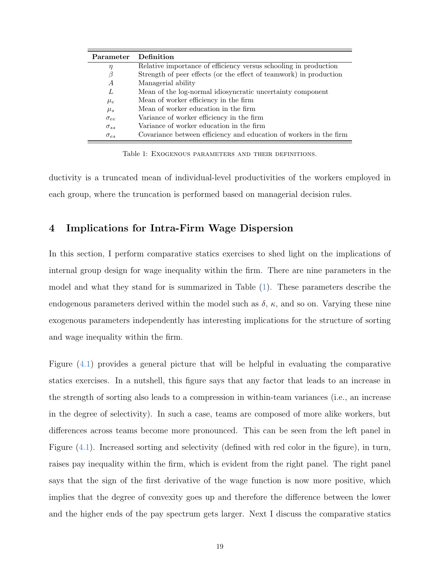<span id="page-20-0"></span>

| Parameter     | <b>Definition</b>                                                  |
|---------------|--------------------------------------------------------------------|
| $\eta$        | Relative importance of efficiency versus schooling in production   |
| $\beta$       | Strength of peer effects (or the effect of teamwork) in production |
| A             | Managerial ability                                                 |
| L             | Mean of the log-normal idiosyncratic uncertainty component         |
| $\mu_e$       | Mean of worker efficiency in the firm                              |
| $\mu_s$       | Mean of worker education in the firm                               |
| $\sigma_{ee}$ | Variance of worker efficiency in the firm                          |
| $\sigma_{ss}$ | Variance of worker education in the firm                           |
| $\sigma_{es}$ | Covariance between efficiency and education of workers in the firm |

Table 1: Exogenous parameters and their definitions.

ductivity is a truncated mean of individual-level productivities of the workers employed in each group, where the truncation is performed based on managerial decision rules.

# 4 Implications for Intra-Firm Wage Dispersion

In this section, I perform comparative statics exercises to shed light on the implications of internal group design for wage inequality within the firm. There are nine parameters in the model and what they stand for is summarized in Table [\(1\)](#page-20-0). These parameters describe the endogenous parameters derived within the model such as  $\delta$ ,  $\kappa$ , and so on. Varying these nine exogenous parameters independently has interesting implications for the structure of sorting and wage inequality within the firm.

Figure [\(4.1\)](#page-22-0) provides a general picture that will be helpful in evaluating the comparative statics exercises. In a nutshell, this figure says that any factor that leads to an increase in the strength of sorting also leads to a compression in within-team variances (i.e., an increase in the degree of selectivity). In such a case, teams are composed of more alike workers, but differences across teams become more pronounced. This can be seen from the left panel in Figure [\(4.1\)](#page-22-0). Increased sorting and selectivity (defined with red color in the figure), in turn, raises pay inequality within the firm, which is evident from the right panel. The right panel says that the sign of the first derivative of the wage function is now more positive, which implies that the degree of convexity goes up and therefore the difference between the lower and the higher ends of the pay spectrum gets larger. Next I discuss the comparative statics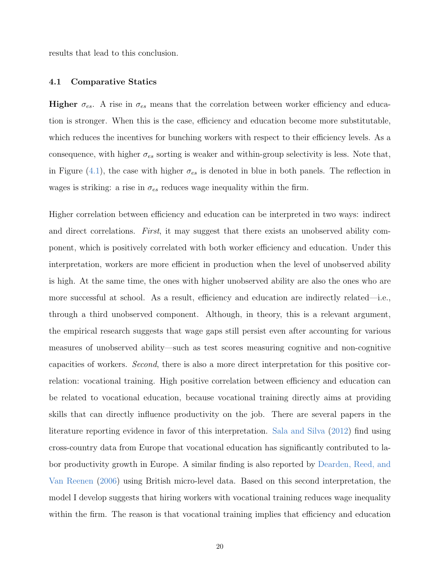results that lead to this conclusion.

#### 4.1 Comparative Statics

**Higher**  $\sigma_{es}$ . A rise in  $\sigma_{es}$  means that the correlation between worker efficiency and education is stronger. When this is the case, efficiency and education become more substitutable, which reduces the incentives for bunching workers with respect to their efficiency levels. As a consequence, with higher  $\sigma_{es}$  sorting is weaker and within-group selectivity is less. Note that, in Figure [\(4.1\)](#page-22-0), the case with higher  $\sigma_{es}$  is denoted in blue in both panels. The reflection in wages is striking: a rise in  $\sigma_{es}$  reduces wage inequality within the firm.

Higher correlation between efficiency and education can be interpreted in two ways: indirect and direct correlations. First, it may suggest that there exists an unobserved ability component, which is positively correlated with both worker efficiency and education. Under this interpretation, workers are more efficient in production when the level of unobserved ability is high. At the same time, the ones with higher unobserved ability are also the ones who are more successful at school. As a result, efficiency and education are indirectly related—i.e., through a third unobserved component. Although, in theory, this is a relevant argument, the empirical research suggests that wage gaps still persist even after accounting for various measures of unobserved ability—such as test scores measuring cognitive and non-cognitive capacities of workers. Second, there is also a more direct interpretation for this positive correlation: vocational training. High positive correlation between efficiency and education can be related to vocational education, because vocational training directly aims at providing skills that can directly influence productivity on the job. There are several papers in the literature reporting evidence in favor of this interpretation. [Sala and Silva](#page-32-9) [\(2012\)](#page-32-9) find using cross-country data from Europe that vocational education has significantly contributed to labor productivity growth in Europe. A similar finding is also reported by [Dearden, Reed, and](#page-29-10) [Van Reenen](#page-29-10) [\(2006\)](#page-29-10) using British micro-level data. Based on this second interpretation, the model I develop suggests that hiring workers with vocational training reduces wage inequality within the firm. The reason is that vocational training implies that efficiency and education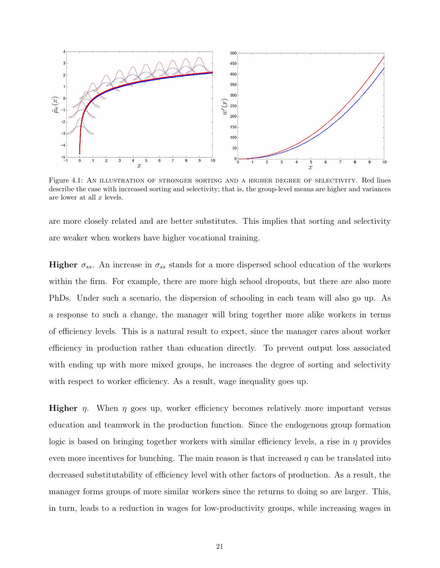<span id="page-22-0"></span>

Figure 4.1: AN ILLUSTRATION OF STRONGER SORTING AND A HIGHER DEGREE OF SELECTIVITY. Red lines describe the case with increased sorting and selectivity; that is, the group-level means are higher and variances are lower at all  $x$  levels.

are more closely related and are better substitutes. This implies that sorting and selectivity are weaker when workers have higher vocational training.

**Higher**  $\sigma_{ss}$ . An increase in  $\sigma_{ss}$  stands for a more dispersed school education of the workers within the firm. For example, there are more high school dropouts, but there are also more PhDs. Under such a scenario, the dispersion of schooling in each team will also go up. As a response to such a change, the manager will bring together more alike workers in terms of efficiency levels. This is a natural result to expect, since the manager cares about worker efficiency in production rather than education directly. To prevent output loss associated with ending up with more mixed groups, he increases the degree of sorting and selectivity with respect to worker efficiency. As a result, wage inequality goes up.

**Higher**  $\eta$ . When  $\eta$  goes up, worker efficiency becomes relatively more important versus education and teamwork in the production function. Since the endogenous group formation logic is based on bringing together workers with similar efficiency levels, a rise in  $\eta$  provides even more incentives for bunching. The main reason is that increased  $\eta$  can be translated into decreased substitutability of efficiency level with other factors of production. As a result, the manager forms groups of more similar workers since the returns to doing so are larger. This, in turn, leads to a reduction in wages for low-productivity groups, while increasing wages in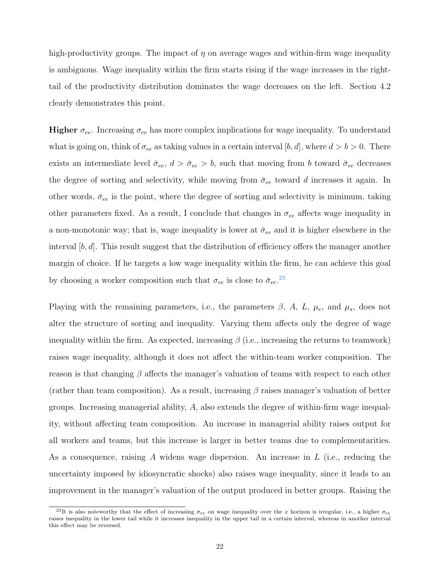high-productivity groups. The impact of  $\eta$  on average wages and within-firm wage inequality is ambiguous. Wage inequality within the firm starts rising if the wage increases in the righttail of the productivity distribution dominates the wage decreases on the left. Section 4.2 clearly demonstrates this point.

**Higher**  $\sigma_{ee}$ . Increasing  $\sigma_{ee}$  has more complex implications for wage inequality. To understand what is going on, think of  $\sigma_{ee}$  as taking values in a certain interval [b, d], where  $d > b > 0$ . There exists an intermediate level  $\bar{\sigma}_{ee}$ ,  $d > \bar{\sigma}_{ee} > b$ , such that moving from b toward  $\bar{\sigma}_{ee}$  decreases the degree of sorting and selectivity, while moving from  $\bar{\sigma}_{ee}$  toward d increases it again. In other words,  $\bar{\sigma}_{ee}$  is the point, where the degree of sorting and selectivity is minimum, taking other parameters fixed. As a result, I conclude that changes in  $\sigma_{ee}$  affects wage inequality in a non-monotonic way; that is, wage inequality is lower at  $\bar{\sigma}_{ee}$  and it is higher elsewhere in the interval  $[b, d]$ . This result suggest that the distribution of efficiency offers the manager another margin of choice. If he targets a low wage inequality within the firm, he can achieve this goal by choosing a worker composition such that  $\sigma_{ee}$  is close to  $\bar{\sigma}_{ee}$ <sup>[23](#page--1-0)</sup>

Playing with the remaining parameters, i.e., the parameters  $\beta$ , A, L,  $\mu_e$ , and  $\mu_s$ , does not alter the structure of sorting and inequality. Varying them affects only the degree of wage inequality within the firm. As expected, increasing  $\beta$  (i.e., increasing the returns to teamwork) raises wage inequality, although it does not affect the within-team worker composition. The reason is that changing  $\beta$  affects the manager's valuation of teams with respect to each other (rather than team composition). As a result, increasing  $\beta$  raises manager's valuation of better groups. Increasing managerial ability,  $A$ , also extends the degree of within-firm wage inequality, without affecting team composition. An increase in managerial ability raises output for all workers and teams, but this increase is larger in better teams due to complementarities. As a consequence, raising  $A$  widens wage dispersion. An increase in  $L$  (i.e., reducing the uncertainty imposed by idiosyncratic shocks) also raises wage inequality, since it leads to an improvement in the manager's valuation of the output produced in better groups. Raising the

<sup>&</sup>lt;sup>23</sup>It is also noteworthy that the effect of increasing  $\sigma_{ee}$  on wage inequality over the x horizon is irregular, i.e., a higher  $\sigma_{ee}$ raises inequality in the lower tail while it increases inequality in the upper tail in a certain interval, whereas in another interval this effect may be reversed.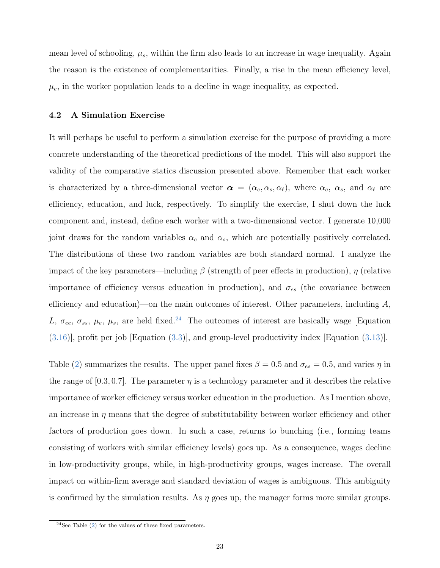mean level of schooling,  $\mu_s$ , within the firm also leads to an increase in wage inequality. Again the reason is the existence of complementarities. Finally, a rise in the mean efficiency level,  $\mu_e$ , in the worker population leads to a decline in wage inequality, as expected.

#### 4.2 A Simulation Exercise

It will perhaps be useful to perform a simulation exercise for the purpose of providing a more concrete understanding of the theoretical predictions of the model. This will also support the validity of the comparative statics discussion presented above. Remember that each worker is characterized by a three-dimensional vector  $\boldsymbol{\alpha} = (\alpha_e, \alpha_s, \alpha_\ell)$ , where  $\alpha_e, \alpha_s$ , and  $\alpha_\ell$  are efficiency, education, and luck, respectively. To simplify the exercise, I shut down the luck component and, instead, define each worker with a two-dimensional vector. I generate 10,000 joint draws for the random variables  $\alpha_e$  and  $\alpha_s$ , which are potentially positively correlated. The distributions of these two random variables are both standard normal. I analyze the impact of the key parameters—including  $\beta$  (strength of peer effects in production),  $\eta$  (relative importance of efficiency versus education in production), and  $\sigma_{es}$  (the covariance between efficiency and education)—on the main outcomes of interest. Other parameters, including  $A$ , L,  $\sigma_{ee}$ ,  $\sigma_{ss}$ ,  $\mu_e$ ,  $\mu_s$ , are held fixed.<sup>[24](#page--1-0)</sup> The outcomes of interest are basically wage [Equation [\(3.16\)](#page-17-0)], profit per job [Equation [\(3.3\)](#page-13-1)], and group-level productivity index [Equation [\(3.13\)](#page-16-0)].

Table [\(2\)](#page-33-0) summarizes the results. The upper panel fixes  $\beta = 0.5$  and  $\sigma_{es} = 0.5$ , and varies  $\eta$  in the range of  $[0.3, 0.7]$ . The parameter  $\eta$  is a technology parameter and it describes the relative importance of worker efficiency versus worker education in the production. As I mention above, an increase in  $\eta$  means that the degree of substitutability between worker efficiency and other factors of production goes down. In such a case, returns to bunching (i.e., forming teams consisting of workers with similar efficiency levels) goes up. As a consequence, wages decline in low-productivity groups, while, in high-productivity groups, wages increase. The overall impact on within-firm average and standard deviation of wages is ambiguous. This ambiguity is confirmed by the simulation results. As  $\eta$  goes up, the manager forms more similar groups.

<sup>&</sup>lt;sup>24</sup>See Table  $(2)$  for the values of these fixed parameters.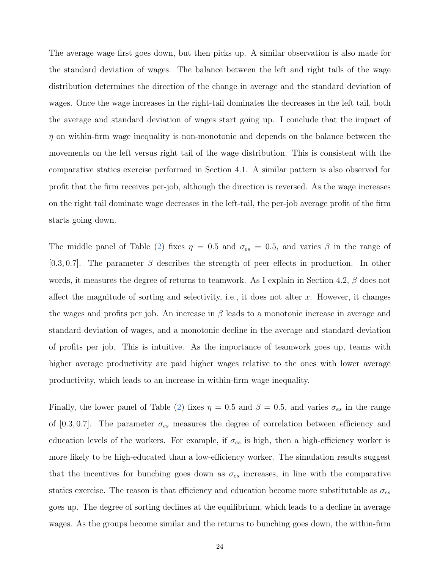The average wage first goes down, but then picks up. A similar observation is also made for the standard deviation of wages. The balance between the left and right tails of the wage distribution determines the direction of the change in average and the standard deviation of wages. Once the wage increases in the right-tail dominates the decreases in the left tail, both the average and standard deviation of wages start going up. I conclude that the impact of  $\eta$  on within-firm wage inequality is non-monotonic and depends on the balance between the movements on the left versus right tail of the wage distribution. This is consistent with the comparative statics exercise performed in Section 4.1. A similar pattern is also observed for profit that the firm receives per-job, although the direction is reversed. As the wage increases on the right tail dominate wage decreases in the left-tail, the per-job average profit of the firm starts going down.

The middle panel of Table [\(2\)](#page-33-0) fixes  $\eta = 0.5$  and  $\sigma_{es} = 0.5$ , and varies  $\beta$  in the range of [0.3, 0.7]. The parameter  $\beta$  describes the strength of peer effects in production. In other words, it measures the degree of returns to teamwork. As I explain in Section 4.2,  $\beta$  does not affect the magnitude of sorting and selectivity, i.e., it does not alter  $x$ . However, it changes the wages and profits per job. An increase in  $\beta$  leads to a monotonic increase in average and standard deviation of wages, and a monotonic decline in the average and standard deviation of profits per job. This is intuitive. As the importance of teamwork goes up, teams with higher average productivity are paid higher wages relative to the ones with lower average productivity, which leads to an increase in within-firm wage inequality.

Finally, the lower panel of Table [\(2\)](#page-33-0) fixes  $\eta = 0.5$  and  $\beta = 0.5$ , and varies  $\sigma_{es}$  in the range of [0.3, 0.7]. The parameter  $\sigma_{es}$  measures the degree of correlation between efficiency and education levels of the workers. For example, if  $\sigma_{es}$  is high, then a high-efficiency worker is more likely to be high-educated than a low-efficiency worker. The simulation results suggest that the incentives for bunching goes down as  $\sigma_{es}$  increases, in line with the comparative statics exercise. The reason is that efficiency and education become more substitutable as  $\sigma_{es}$ goes up. The degree of sorting declines at the equilibrium, which leads to a decline in average wages. As the groups become similar and the returns to bunching goes down, the within-firm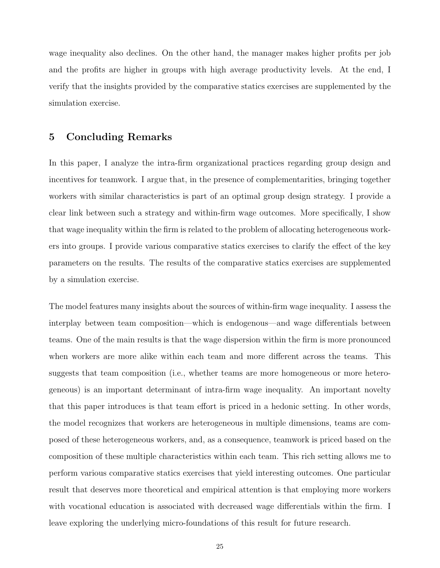wage inequality also declines. On the other hand, the manager makes higher profits per job and the profits are higher in groups with high average productivity levels. At the end, I verify that the insights provided by the comparative statics exercises are supplemented by the simulation exercise.

## 5 Concluding Remarks

In this paper, I analyze the intra-firm organizational practices regarding group design and incentives for teamwork. I argue that, in the presence of complementarities, bringing together workers with similar characteristics is part of an optimal group design strategy. I provide a clear link between such a strategy and within-firm wage outcomes. More specifically, I show that wage inequality within the firm is related to the problem of allocating heterogeneous workers into groups. I provide various comparative statics exercises to clarify the effect of the key parameters on the results. The results of the comparative statics exercises are supplemented by a simulation exercise.

The model features many insights about the sources of within-firm wage inequality. I assess the interplay between team composition—which is endogenous—and wage differentials between teams. One of the main results is that the wage dispersion within the firm is more pronounced when workers are more alike within each team and more different across the teams. This suggests that team composition (i.e., whether teams are more homogeneous or more heterogeneous) is an important determinant of intra-firm wage inequality. An important novelty that this paper introduces is that team effort is priced in a hedonic setting. In other words, the model recognizes that workers are heterogeneous in multiple dimensions, teams are composed of these heterogeneous workers, and, as a consequence, teamwork is priced based on the composition of these multiple characteristics within each team. This rich setting allows me to perform various comparative statics exercises that yield interesting outcomes. One particular result that deserves more theoretical and empirical attention is that employing more workers with vocational education is associated with decreased wage differentials within the firm. I leave exploring the underlying micro-foundations of this result for future research.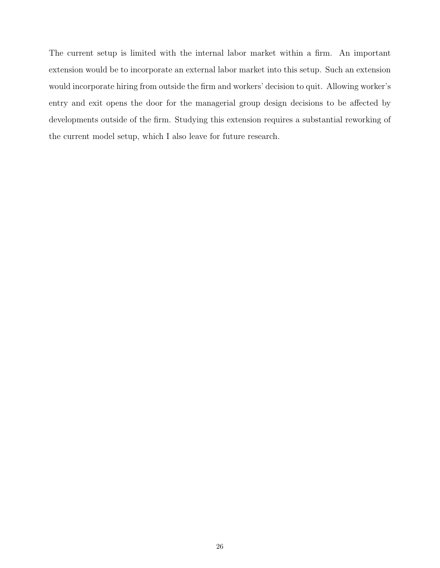The current setup is limited with the internal labor market within a firm. An important extension would be to incorporate an external labor market into this setup. Such an extension would incorporate hiring from outside the firm and workers' decision to quit. Allowing worker's entry and exit opens the door for the managerial group design decisions to be affected by developments outside of the firm. Studying this extension requires a substantial reworking of the current model setup, which I also leave for future research.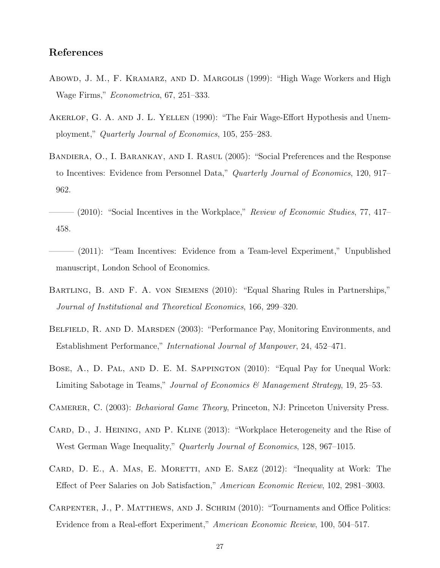### References

- <span id="page-28-10"></span>ABOWD, J. M., F. KRAMARZ, AND D. MARGOLIS (1999): "High Wage Workers and High Wage Firms," Econometrica, 67, 251–333.
- <span id="page-28-4"></span>AKERLOF, G. A. AND J. L. YELLEN (1990): "The Fair Wage-Effort Hypothesis and Unemployment," Quarterly Journal of Economics, 105, 255–283.
- <span id="page-28-1"></span>Bandiera, O., I. Barankay, and I. Rasul (2005): "Social Preferences and the Response to Incentives: Evidence from Personnel Data," Quarterly Journal of Economics, 120, 917– 962.
- <span id="page-28-0"></span> $-$  (2010): "Social Incentives in the Workplace," Review of Economic Studies, 77, 417– 458.
- <span id="page-28-2"></span>——— (2011): "Team Incentives: Evidence from a Team-level Experiment," Unpublished manuscript, London School of Economics.
- <span id="page-28-8"></span>Bartling, B. and F. A. von Siemens (2010): "Equal Sharing Rules in Partnerships," Journal of Institutional and Theoretical Economics, 166, 299–320.
- <span id="page-28-5"></span>Belfield, R. and D. Marsden (2003): "Performance Pay, Monitoring Environments, and Establishment Performance," International Journal of Manpower, 24, 452–471.
- <span id="page-28-9"></span>Bose, A., D. Pal, and D. E. M. Sappington (2010): "Equal Pay for Unequal Work: Limiting Sabotage in Teams," Journal of Economics & Management Strategy, 19, 25–53.
- <span id="page-28-7"></span>CAMERER, C. (2003): *Behavioral Game Theory*, Princeton, NJ: Princeton University Press.
- <span id="page-28-11"></span>CARD, D., J. HEINING, AND P. KLINE (2013): "Workplace Heterogeneity and the Rise of West German Wage Inequality," *Quarterly Journal of Economics*, 128, 967–1015.
- <span id="page-28-6"></span>CARD, D. E., A. MAS, E. MORETTI, AND E. SAEZ (2012): "Inequality at Work: The Effect of Peer Salaries on Job Satisfaction," American Economic Review, 102, 2981–3003.
- <span id="page-28-3"></span>Carpenter, J., P. Matthews, and J. Schrim (2010): "Tournaments and Office Politics: Evidence from a Real-effort Experiment," American Economic Review, 100, 504–517.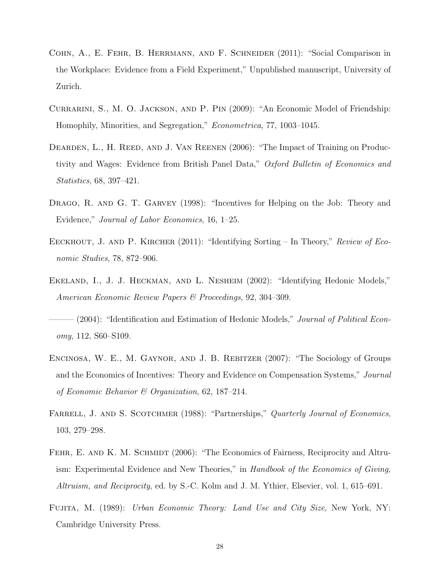- <span id="page-29-5"></span>Cohn, A., E. Fehr, B. Herrmann, and F. Schneider (2011): "Social Comparison in the Workplace: Evidence from a Field Experiment," Unpublished manuscript, University of Zurich.
- <span id="page-29-3"></span>CURRARINI, S., M. O. JACKSON, AND P. PIN (2009): "An Economic Model of Friendship: Homophily, Minorities, and Segregation," Econometrica, 77, 1003–1045.
- <span id="page-29-10"></span>DEARDEN, L., H. REED, AND J. VAN REENEN (2006): "The Impact of Training on Productivity and Wages: Evidence from British Panel Data," Oxford Bulletin of Economics and Statistics, 68, 397–421.
- <span id="page-29-4"></span>DRAGO, R. AND G. T. GARVEY (1998): "Incentives for Helping on the Job: Theory and Evidence," Journal of Labor Economics, 16, 1–25.
- <span id="page-29-9"></span>EECKHOUT, J. AND P. KIRCHER (2011): "Identifying Sorting – In Theory," Review of Economic Studies, 78, 872–906.
- <span id="page-29-0"></span>Ekeland, I., J. J. Heckman, and L. Nesheim (2002): "Identifying Hedonic Models," American Economic Review Papers & Proceedings, 92, 304–309.
- <span id="page-29-1"></span>– (2004): "Identification and Estimation of Hedonic Models," Journal of Political Economy, 112, S60–S109.
- <span id="page-29-7"></span>Encinosa, W. E., M. Gaynor, and J. B. Rebitzer (2007): "The Sociology of Groups and the Economics of Incentives: Theory and Evidence on Compensation Systems," Journal of Economic Behavior & Organization, 62, 187–214.
- <span id="page-29-6"></span>FARRELL, J. AND S. SCOTCHMER (1988): "Partnerships," Quarterly Journal of Economics, 103, 279–298.
- <span id="page-29-8"></span>FEHR, E. AND K. M. SCHMIDT (2006): "The Economics of Fairness, Reciprocity and Altruism: Experimental Evidence and New Theories," in Handbook of the Economics of Giving, Altruism, and Reciprocity, ed. by S.-C. Kolm and J. M. Ythier, Elsevier, vol. 1, 615–691.
- <span id="page-29-2"></span>Fujita, M. (1989): Urban Economic Theory: Land Use and City Size, New York, NY: Cambridge University Press.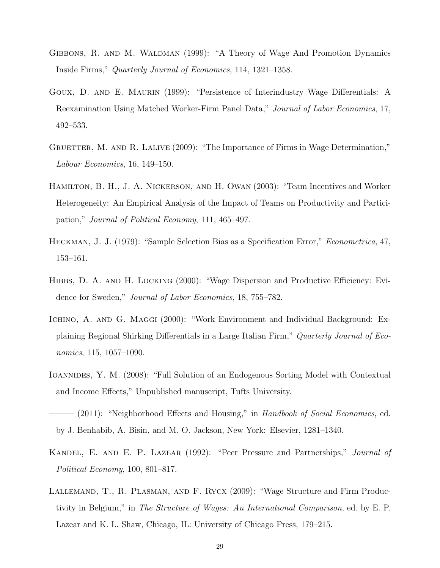- <span id="page-30-8"></span>GIBBONS, R. AND M. WALDMAN (1999): "A Theory of Wage And Promotion Dynamics Inside Firms," Quarterly Journal of Economics, 114, 1321–1358.
- <span id="page-30-9"></span>Goux, D. and E. Maurin (1999): "Persistence of Interindustry Wage Differentials: A Reexamination Using Matched Worker-Firm Panel Data," Journal of Labor Economics, 17, 492–533.
- <span id="page-30-10"></span>GRUETTER, M. AND R. LALIVE (2009): "The Importance of Firms in Wage Determination," Labour Economics, 16, 149–150.
- <span id="page-30-1"></span>Hamilton, B. H., J. A. Nickerson, and H. Owan (2003): "Team Incentives and Worker Heterogeneity: An Empirical Analysis of the Impact of Teams on Productivity and Participation," Journal of Political Economy, 111, 465–497.
- <span id="page-30-4"></span>Heckman, J. J. (1979): "Sample Selection Bias as a Specification Error," Econometrica, 47, 153–161.
- <span id="page-30-5"></span>Hibbs, D. A. and H. Locking (2000): "Wage Dispersion and Productive Efficiency: Evidence for Sweden," Journal of Labor Economics, 18, 755–782.
- <span id="page-30-0"></span>ICHINO, A. AND G. MAGGI (2000): "Work Environment and Individual Background: Explaining Regional Shirking Differentials in a Large Italian Firm," Quarterly Journal of Economics, 115, 1057–1090.
- <span id="page-30-2"></span>IOANNIDES, Y. M. (2008): "Full Solution of an Endogenous Sorting Model with Contextual and Income Effects," Unpublished manuscript, Tufts University.

- <span id="page-30-6"></span>Kandel, E. and E. P. Lazear (1992): "Peer Pressure and Partnerships," Journal of Political Economy, 100, 801–817.
- <span id="page-30-7"></span>Lallemand, T., R. Plasman, and F. Rycx (2009): "Wage Structure and Firm Productivity in Belgium," in The Structure of Wages: An International Comparison, ed. by E. P. Lazear and K. L. Shaw, Chicago, IL: University of Chicago Press, 179–215.

<span id="page-30-3"></span><sup>- (2011): &</sup>quot;Neighborhood Effects and Housing," in Handbook of Social Economics, ed. by J. Benhabib, A. Bisin, and M. O. Jackson, New York: Elsevier, 1281–1340.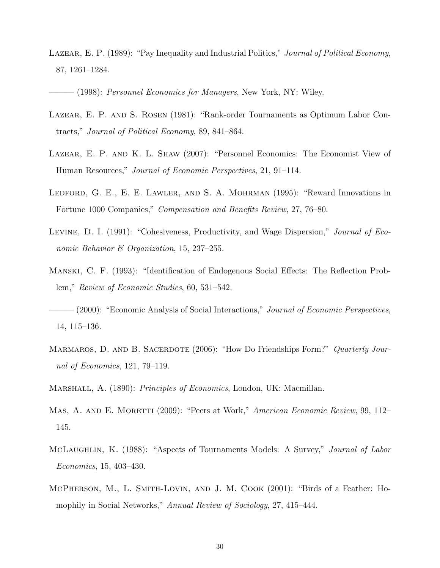<span id="page-31-9"></span>LAZEAR, E. P. (1989): "Pay Inequality and Industrial Politics," Journal of Political Economy, 87, 1261–1284.

<span id="page-31-0"></span>– (1998): *Personnel Economics for Managers*, New York, NY: Wiley.

- <span id="page-31-11"></span>Lazear, E. P. and S. Rosen (1981): "Rank-order Tournaments as Optimum Labor Contracts," Journal of Political Economy, 89, 841–864.
- <span id="page-31-4"></span>Lazear, E. P. and K. L. Shaw (2007): "Personnel Economics: The Economist View of Human Resources," Journal of Economic Perspectives, 21, 91–114.
- <span id="page-31-1"></span>Ledford, G. E., E. E. Lawler, and S. A. Mohrman (1995): "Reward Innovations in Fortune 1000 Companies," Compensation and Benefits Review, 27, 76–80.
- <span id="page-31-10"></span>LEVINE, D. I. (1991): "Cohesiveness, Productivity, and Wage Dispersion," Journal of Economic Behavior & Organization, 15, 237–255.
- <span id="page-31-5"></span>Manski, C. F. (1993): "Identification of Endogenous Social Effects: The Reflection Problem," Review of Economic Studies, 60, 531–542.
- <span id="page-31-6"></span>——— (2000): "Economic Analysis of Social Interactions," Journal of Economic Perspectives, 14, 115–136.
- <span id="page-31-8"></span>MARMAROS, D. AND B. SACERDOTE (2006): "How Do Friendships Form?" Quarterly Journal of Economics, 121, 79–119.
- <span id="page-31-3"></span>MARSHALL, A. (1890): *Principles of Economics*, London, UK: Macmillan.
- <span id="page-31-2"></span>MAS, A. AND E. MORETTI (2009): "Peers at Work," *American Economic Review*, 99, 112– 145.
- <span id="page-31-12"></span>McLAUGHLIN, K. (1988): "Aspects of Tournaments Models: A Survey," Journal of Labor Economics, 15, 403–430.
- <span id="page-31-7"></span>McPherson, M., L. Smith-Lovin, and J. M. Cook (2001): "Birds of a Feather: Homophily in Social Networks," Annual Review of Sociology, 27, 415–444.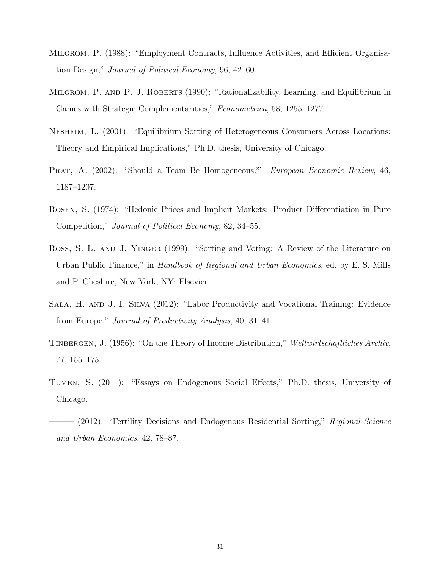- <span id="page-32-6"></span>Milgrom, P. (1988): "Employment Contracts, Influence Activities, and Efficient Organisation Design," Journal of Political Economy, 96, 42–60.
- <span id="page-32-7"></span>MILGROM, P. AND P. J. ROBERTS (1990): "Rationalizability, Learning, and Equilibrium in Games with Strategic Complementarities," Econometrica, 58, 1255–1277.
- <span id="page-32-0"></span>Nesheim, L. (2001): "Equilibrium Sorting of Heterogeneous Consumers Across Locations: Theory and Empirical Implications," Ph.D. thesis, University of Chicago.
- <span id="page-32-5"></span>Prat, A. (2002): "Should a Team Be Homogeneous?" European Economic Review, 46, 1187–1207.
- <span id="page-32-4"></span>Rosen, S. (1974): "Hedonic Prices and Implicit Markets: Product Differentiation in Pure Competition," Journal of Political Economy, 82, 34–55.
- <span id="page-32-8"></span>ROSS, S. L. AND J. YINGER (1999): "Sorting and Voting: A Review of the Literature on Urban Public Finance," in Handbook of Regional and Urban Economics, ed. by E. S. Mills and P. Cheshire, New York, NY: Elsevier.
- <span id="page-32-9"></span>Sala, H. and J. I. Silva (2012): "Labor Productivity and Vocational Training: Evidence from Europe," Journal of Productivity Analysis, 40, 31–41.
- <span id="page-32-3"></span>TINBERGEN, J. (1956): "On the Theory of Income Distribution," Weltwirtschaftliches Archiv, 77, 155–175.
- <span id="page-32-1"></span>Tumen, S. (2011): "Essays on Endogenous Social Effects," Ph.D. thesis, University of Chicago.
- <span id="page-32-2"></span>– (2012): "Fertility Decisions and Endogenous Residential Sorting," Regional Science and Urban Economics, 42, 78–87.